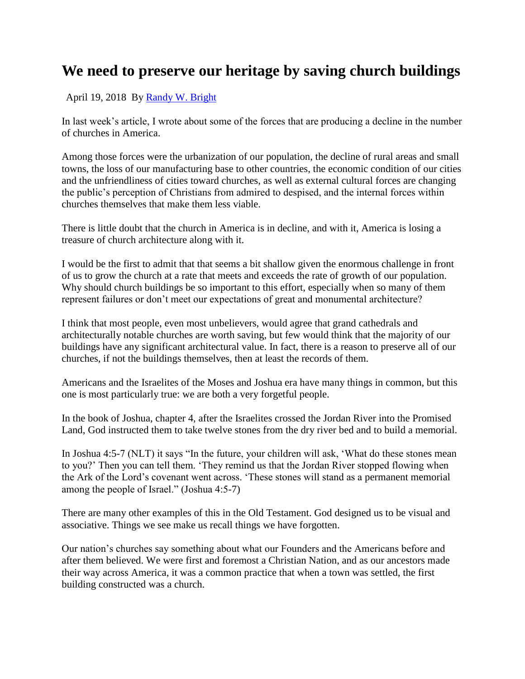## **We need to preserve our heritage by saving church buildings**

April 19, 2018 By [Randy W. Bright](http://www.tulsabeacon.com/author/slug-o6yd1v)

In last week's article, I wrote about some of the forces that are producing a decline in the number of churches in America.

Among those forces were the urbanization of our population, the decline of rural areas and small towns, the loss of our manufacturing base to other countries, the economic condition of our cities and the unfriendliness of cities toward churches, as well as external cultural forces are changing the public's perception of Christians from admired to despised, and the internal forces within churches themselves that make them less viable.

There is little doubt that the church in America is in decline, and with it, America is losing a treasure of church architecture along with it.

I would be the first to admit that that seems a bit shallow given the enormous challenge in front of us to grow the church at a rate that meets and exceeds the rate of growth of our population. Why should church buildings be so important to this effort, especially when so many of them represent failures or don't meet our expectations of great and monumental architecture?

I think that most people, even most unbelievers, would agree that grand cathedrals and architecturally notable churches are worth saving, but few would think that the majority of our buildings have any significant architectural value. In fact, there is a reason to preserve all of our churches, if not the buildings themselves, then at least the records of them.

Americans and the Israelites of the Moses and Joshua era have many things in common, but this one is most particularly true: we are both a very forgetful people.

In the book of Joshua, chapter 4, after the Israelites crossed the Jordan River into the Promised Land, God instructed them to take twelve stones from the dry river bed and to build a memorial.

In Joshua 4:5-7 (NLT) it says "In the future, your children will ask, 'What do these stones mean to you?' Then you can tell them. 'They remind us that the Jordan River stopped flowing when the Ark of the Lord's covenant went across. 'These stones will stand as a permanent memorial among the people of Israel." (Joshua 4:5-7)

There are many other examples of this in the Old Testament. God designed us to be visual and associative. Things we see make us recall things we have forgotten.

Our nation's churches say something about what our Founders and the Americans before and after them believed. We were first and foremost a Christian Nation, and as our ancestors made their way across America, it was a common practice that when a town was settled, the first building constructed was a church.